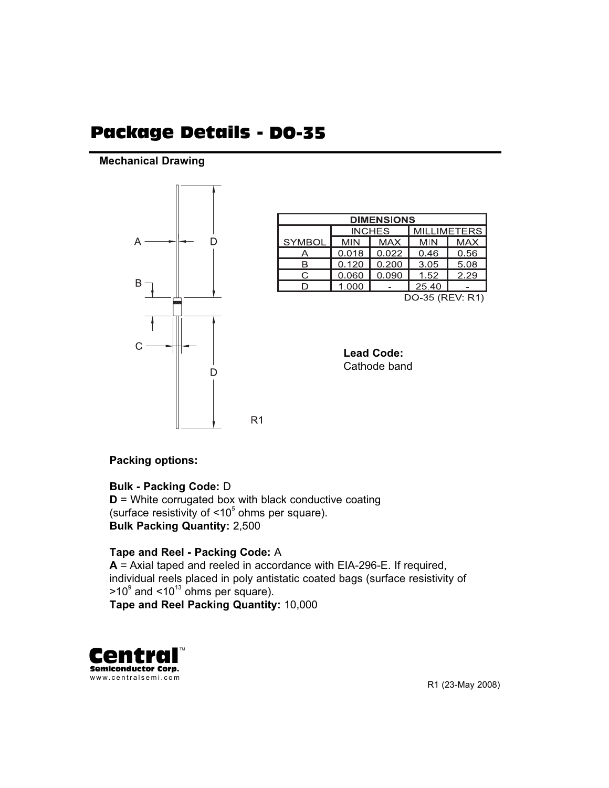# Package Details - DO-35

#### **Mechanical Drawing**



| <b>DIMENSIONS</b> |            |               |                    |            |  |  |  |  |  |  |
|-------------------|------------|---------------|--------------------|------------|--|--|--|--|--|--|
|                   |            | <b>INCHES</b> | <b>MILLIMETERS</b> |            |  |  |  |  |  |  |
| <b>SYMBOL</b>     | <b>MIN</b> | <b>MAX</b>    | <b>MIN</b>         | <b>MAX</b> |  |  |  |  |  |  |
|                   | 0.018      | 0.022         | 0.46               | 0.56       |  |  |  |  |  |  |
| R                 | 0.120      | 0.200         | 3.05               | 5.08       |  |  |  |  |  |  |
| ◠                 | 0.060      | 0.090         | 1.52               | 2.29       |  |  |  |  |  |  |
|                   | 1.000      |               | 25.40              |            |  |  |  |  |  |  |
| DO-35 (REV: R1)   |            |               |                    |            |  |  |  |  |  |  |

**Lead Code:** Cathode band

#### **Packing options:**

## **Bulk - Packing Code:** D

**D** = White corrugated box with black conductive coating (surface resistivity of  $\leq 10^5$  ohms per square). **Bulk Packing Quantity:** 2,500

 $R<sub>1</sub>$ 

### **Tape and Reel - Packing Code:** A

**A** = Axial taped and reeled in accordance with EIA-296-E. If required, individual reels placed in poly antistatic coated bags (surface resistivity of  $>10^9$  and  $<10^{13}$  ohms per square).

**Tape and Reel Packing Quantity:** 10,000



R1 (23-May 2008)